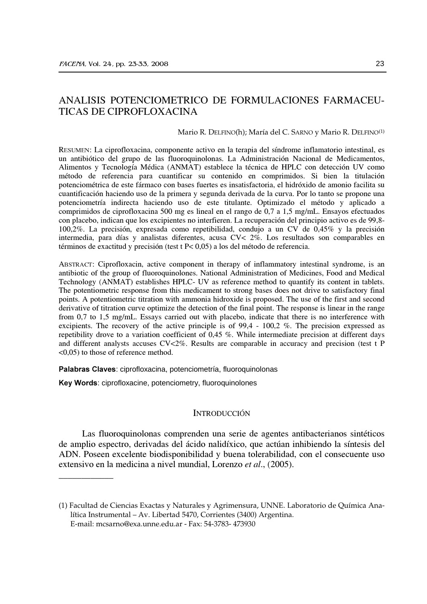# ANALISIS POTENCIOMETRICO DE FORMULACIONES FARMACEU-TICAS DE CIPROFLOXACINA

Mario R. DELFINO(h); María del C. SARNO y Mario R. DELFINO<sup>(1)</sup>

RESUMEN: La ciprofloxacina, componente activo en la terapia del síndrome inflamatorio intestinal, es un antibiótico del grupo de las fluoroquinolonas. La Administración Nacional de Medicamentos, Alimentos y Tecnología Médica (ANMAT) establece la técnica de HPLC con detección UV como método de referencia para cuantificar su contenido en comprimidos. Si bien la titulación potenciométrica de este fármaco con bases fuertes es insatisfactoria, el hidróxido de amonio facilita su cuantificación haciendo uso de la primera y segunda derivada de la curva. Por lo tanto se propone una potenciometría indirecta haciendo uso de este titulante. Optimizado el método y aplicado a comprimidos de ciprofloxacina 500 mg es lineal en el rango de 0,7 a 1,5 mg/mL. Ensayos efectuados con placebo, indican que los excipientes no interfieren. La recuperación del principio activo es de 99,8-100,2%. La precisión, expresada como repetibilidad, condujo a un CV de 0,45% y la precisión intermedia, para días y analistas diferentes, acusa CV< 2%. Los resultados son comparables en términos de exactitud y precisión (test  $t \ge 0.05$ ) a los del método de referencia.

ABSTRACT: Ciprofloxacin, active component in therapy of inflammatory intestinal syndrome, is an antibiotic of the group of fluoroquinolones. National Administration of Medicines, Food and Medical Technology (ANMAT) establishes HPLC- UV as reference method to quantify its content in tablets. The potentiometric response from this medicament to strong bases does not drive to satisfactory final points. A potentiometric titration with ammonia hidroxide is proposed. The use of the first and second derivative of titration curve optimize the detection of the final point. The response is linear in the range from 0,7 to 1,5 mg/mL. Essays carried out with placebo, indicate that there is no interference with excipients. The recovery of the active principle is of  $99.4 - 100.2$  %. The precision expressed as repetibility drove to a variation coefficient of 0,45 %. While intermediate precision at different days and different analysts accuses CV<2%. Results are comparable in accuracy and precision (test t P  $\leq 0.05$  to those of reference method.

Palabras Claves: ciprofloxacina, potenciometría, fluoroquinolonas

Key Words: ciprofloxacine, potenciometry, fluoroquinolones

## **INTRODUCCIÓN**

Las fluoroquinolonas comprenden una serie de agentes antibacterianos sintéticos de amplio espectro, derivadas del ácido nalidíxico, que actúan inhibiendo la síntesis del ADN. Poseen excelente biodisponibilidad y buena tolerabilidad, con el consecuente uso extensivo en la medicina a nivel mundial, Lorenzo et al., (2005).

<sup>(1)</sup> Facultad de Ciencias Exactas y Naturales y Agrimensura, UNNE. Laboratorio de Ouímica Analítica Instrumental – Av. Libertad 5470, Corrientes (3400) Argentina. E-mail: mcsarno@exa.unne.edu.ar - Fax: 54-3783-473930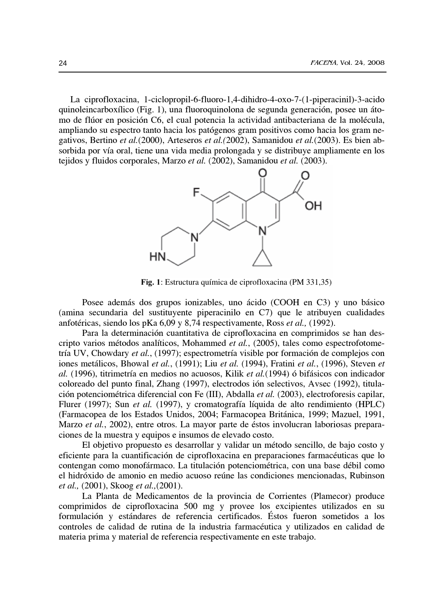La ciprofloxacina, 1-ciclopropil-6-fluoro-1,4-dihidro-4-oxo-7-(1-piperacinil)-3-acido quinole incarboxílico (Fig. 1), una fluoroquinolona de segunda generación, posee un átomo de flúor en posición C6, el cual potencia la actividad antibacteriana de la molécula, ampliando su espectro tanto hacia los patógenos gram positivos como hacia los gram negativos, Bertino et al. (2000), Arteseros et al. (2002), Samanidou et al. (2003). Es bien absorbida por vía oral, tiene una vida media prolongada y se distribuye ampliamente en los tejidos y fluidos corporales, Marzo et al. (2002), Samanidou et al. (2003).



Fig. 1: Estructura química de ciprofloxacina (PM 331,35)

Posee además dos grupos ionizables, uno ácido (COOH en C3) y uno básico (amina secundaria del sustituyente piperacinilo en C7) que le atribuyen cualidades anfotéricas, siendo los pKa 6,09 y 8,74 respectivamente, Ross et al., (1992).

Para la determinación cuantitativa de ciprofloxacina en comprimidos se han descripto varios métodos analíticos, Mohammed et al., (2005), tales como espectrofotometría UV, Chowdary et al., (1997); espectrometría visible por formación de complejos con iones metálicos, Bhowal et al., (1991); Liu et al. (1994), Fratini et al., (1996), Steven et al. (1996), titrimetría en medios no acuosos, Kilik et al. (1994) ó bifásicos con indicador coloreado del punto final, Zhang (1997), electrodos ión selectivos, Avsec (1992), titulación potenciométrica diferencial con Fe (III), Abdalla *et al.* (2003), electroforesis capilar, Flurer (1997); Sun et al. (1997), y cromatografía líquida de alto rendimiento (HPLC) (Farmacopea de los Estados Unidos, 2004; Farmacopea Británica, 1999; Mazuel, 1991, Marzo et al., 2002), entre otros. La mayor parte de éstos involucran laboriosas preparaciones de la muestra y equipos e insumos de elevado costo.

El objetivo propuesto es desarrollar y validar un método sencillo, de bajo costo y eficiente para la cuantificación de ciprofloxacina en preparaciones farmacéuticas que lo contengan como monofármaco. La titulación potenciométrica, con una base débil como el hidróxido de amonio en medio acuoso reúne las condiciones mencionadas, Rubinson *et al.*, (2001), Skoog *et al.*, (2001).

La Planta de Medicamentos de la provincia de Corrientes (Plamecor) produce comprimidos de ciprofloxacina 500 mg y provee los excipientes utilizados en su formulación y estándares de referencia certificados. Éstos fueron sometidos a los controles de calidad de rutina de la industria farmacéutica y utilizados en calidad de materia prima y material de referencia respectivamente en este trabajo.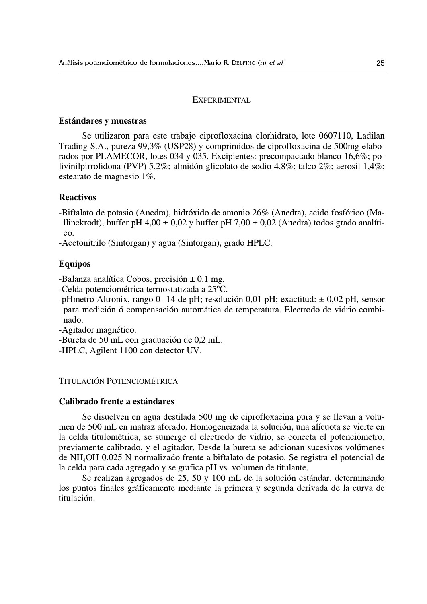#### EXPERIMENTAL

#### Estándares y muestras

Se utilizaron para este trabajo ciprofloxacina clorhidrato, lote 0607110, Ladilan Trading S.A., pureza 99,3% (USP28) y comprimidos de ciprofloxacina de 500mg elaborados por PLAMECOR, lotes 034 y 035. Excipientes: precompactado blanco 16,6%; polivinilpirrolidona (PVP) 5,2%; almidón glicolato de sodio 4,8%; talco 2%; aerosil  $1,4\%$ ; estearato de magnesio 1%.

# **Reactivos**

-Biftalato de potasio (Anedra), hidróxido de amonio 26% (Anedra), acido fosfórico (Mallinckrodt), buffer pH 4,00  $\pm$  0,02 y buffer pH 7,00  $\pm$  0,02 (Anedra) todos grado analíti- $\rm{co}$ .

-Acetonitrilo (Sintorgan) y agua (Sintorgan), grado HPLC.

#### **Equipos**

-Balanza analítica Cobos, precisión  $\pm$  0,1 mg.

-Celda potenciométrica termostatizada a 25°C.

-pHmetro Altronix, rango 0-14 de pH; resolución 0,01 pH; exactitud:  $\pm$  0,02 pH, sensor para medición ó compensación automática de temperatura. Electrodo de vidrio combinado.

-Agitador magnético.

-Bureta de 50 mL con graduación de 0,2 mL.

-HPLC, Agilent 1100 con detector UV.

# TITULACIÓN POTENCIOMÉTRICA

## Calibrado frente a estándares

Se disuelven en agua destilada 500 mg de ciprofloxacina pura y se llevan a volumen de 500 mL en matraz aforado. Homogeneizada la solución, una alícuota se vierte en la celda titulométrica, se sumerge el electrodo de vidrio, se conecta el potenciómetro, previamente calibrado, y el agitador. Desde la bureta se adicionan sucesivos volúmenes de NH<sub>4</sub>OH 0,025 N normalizado frente a biftalato de potasio. Se registra el potencial de la celda para cada agregado y se grafica pH vs. volumen de titulante.

Se realizan agregados de 25, 50 y 100 mL de la solución estándar, determinando los puntos finales gráficamente mediante la primera y segunda derivada de la curva de titulación.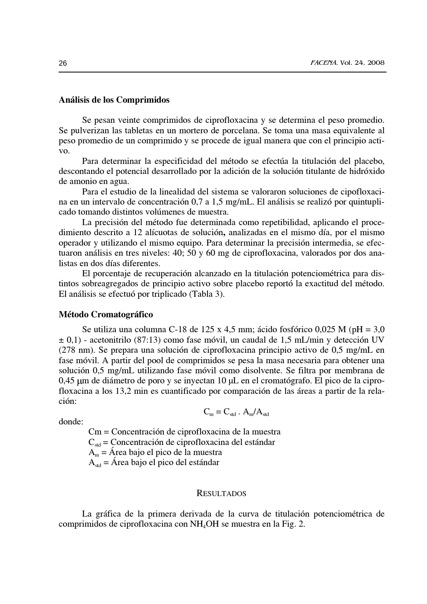## Análisis de los Comprimidos

Se pesan veinte comprimidos de ciprofloxacina y se determina el peso promedio. Se pulverizan las tabletas en un mortero de porcelana. Se toma una masa equivalente al peso promedio de un comprimido y se procede de igual manera que con el principio acti-VO.

Para determinar la especificidad del método se efectúa la titulación del placebo, descontando el potencial desarrollado por la adición de la solución titulante de hidróxido de amonio en agua.

Para el estudio de la linealidad del sistema se valoraron soluciones de cipofloxacina en un intervalo de concentración 0,7 a 1,5 mg/mL. El análisis se realizó por quintuplicado tomando distintos volúmenes de muestra.

La precisión del método fue determinada como repetibilidad, aplicando el procedimiento descrito a 12 alícuotas de solución, analizadas en el mismo día, por el mismo operador y utilizando el mismo equipo. Para determinar la precisión intermedia, se efectuaron análisis en tres niveles: 40; 50 y 60 mg de ciprofloxacina, valorados por dos analistas en dos días diferentes.

El porcentaje de recuperación alcanzado en la titulación potenciométrica para distintos sobreagregados de principio activo sobre placebo reportó la exactitud del método. El análisis se efectuó por triplicado (Tabla 3).

## **Método Cromatográfico**

Se utiliza una columna C-18 de 125 x 4,5 mm; ácido fosfórico 0,025 M (pH = 3,0  $\pm$  0,1) - acetonitrilo (87:13) como fase móvil, un caudal de 1,5 mL/min y detección UV  $(278 \text{ nm})$ . Se prepara una solución de ciprofloxacina principio activo de 0,5 mg/mL en fase móvil. A partir del pool de comprimidos se pesa la masa necesaria para obtener una solución 0,5 mg/mL utilizando fase móvil como disolvente. Se filtra por membrana de 0,45 µm de diámetro de poro y se inyectan 10 µL en el cromatógrafo. El pico de la ciprofloxacina a los 13,2 min es cuantificado por comparación de las áreas a partir de la relación:

donde<sup>.</sup>

 $C_m = C_{std}$ .  $A_m/A_{std}$ 

Cm = Concentración de ciprofloxacina de la muestra  $C_{\text{std}}$  = Concentración de ciprofloxacina del estándar  $A_m =$  Área bajo el pico de la muestra  $A_{\text{std}} = \hat{A}$ rea bajo el pico del estándar

## **RESULTADOS**

La gráfica de la primera derivada de la curva de titulación potenciométrica de comprimidos de ciprofloxacina con NH<sub>4</sub>OH se muestra en la Fig. 2.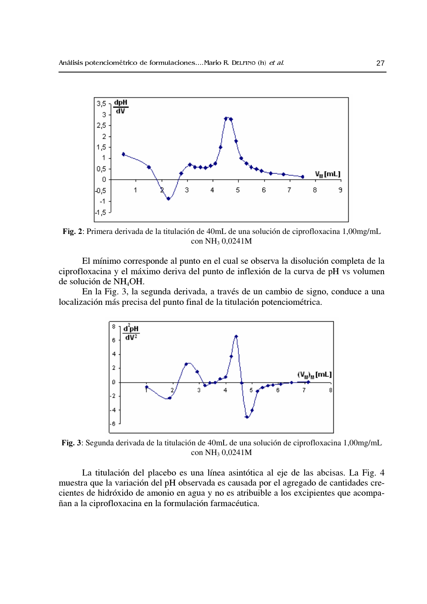

Fig. 2: Primera derivada de la titulación de 40mL de una solución de ciprofloxacina 1,00mg/mL con NH<sub>3</sub> 0,0241M

El mínimo corresponde al punto en el cual se observa la disolución completa de la ciprofloxacina y el máximo deriva del punto de inflexión de la curva de pH vs volumen de solución de NH<sub>4</sub>OH.

En la Fig. 3, la segunda derivada, a través de un cambio de signo, conduce a una localización más precisa del punto final de la titulación potenciométrica.



Fig. 3: Segunda derivada de la titulación de 40mL de una solución de ciprofloxacina 1,00mg/mL con NH<sub>3</sub> 0,0241M

La titulación del placebo es una línea asintótica al eje de las abcisas. La Fig. 4 muestra que la variación del pH observada es causada por el agregado de cantidades crecientes de hidróxido de amonio en agua y no es atribuible a los excipientes que acompañan a la ciprofloxacina en la formulación farmacéutica.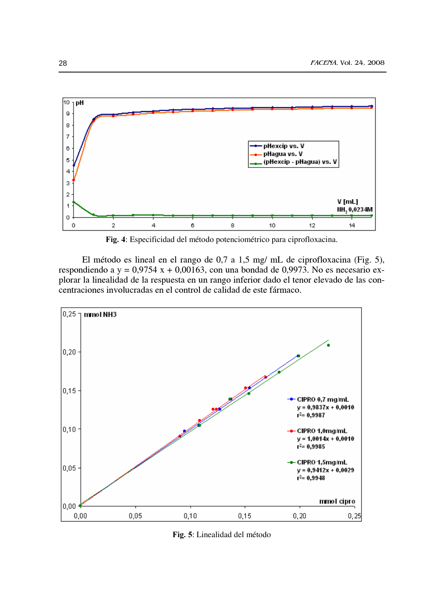

Fig. 4: Especificidad del método potenciométrico para ciprofloxacina.

El método es lineal en el rango de 0,7 a 1,5 mg/ mL de ciprofloxacina (Fig. 5), respondiendo a y =  $0.9754$  x +  $0.00163$ , con una bondad de 0,9973. No es necesario explorar la linealidad de la respuesta en un rango inferior dado el tenor elevado de las concentraciones involucradas en el control de calidad de este fármaco.



Fig. 5: Linealidad del método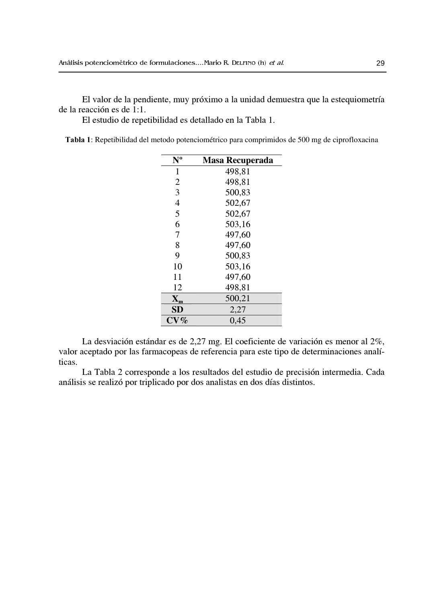El valor de la pendiente, muy próximo a la unidad demuestra que la estequiometría de la reacción es de 1:1.

El estudio de repetibilidad es detallado en la Tabla 1.

Tabla 1: Repetibilidad del metodo potenciométrico para comprimidos de 500 mg de ciprofloxacina

| $N^{\text{o}}$            | <b>Masa Recuperada</b> |  |  |  |
|---------------------------|------------------------|--|--|--|
| 1                         | 498,81                 |  |  |  |
| $\overline{2}$            | 498,81                 |  |  |  |
| 3                         | 500,83                 |  |  |  |
| $\overline{4}$            | 502,67                 |  |  |  |
| 5                         | 502,67                 |  |  |  |
| 6                         | 503,16                 |  |  |  |
| 7                         | 497,60                 |  |  |  |
| 8                         | 497,60                 |  |  |  |
| 9                         | 500,83                 |  |  |  |
| 10                        | 503,16                 |  |  |  |
| 11                        | 497,60                 |  |  |  |
| 12                        | 498,81                 |  |  |  |
| $\mathbf{X}_{\mathbf{m}}$ | 500,21                 |  |  |  |
| SD                        | 2,27                   |  |  |  |
| $\mathrm{CV}$ %           | 0,45                   |  |  |  |

La desviación estándar es de 2,27 mg. El coeficiente de variación es menor al 2%, valor aceptado por las farmacopeas de referencia para este tipo de determinaciones analíticas.

La Tabla 2 corresponde a los resultados del estudio de precisión intermedia. Cada análisis se realizó por triplicado por dos analistas en dos días distintos.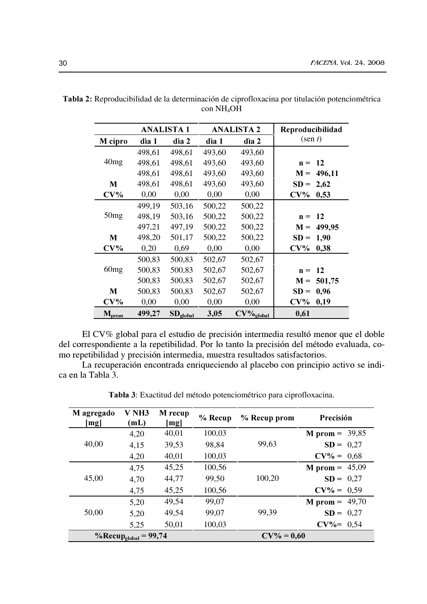|                   |        | <b>ANALISTA1</b> |        | <b>ANALISTA 2</b>        | Reproducibilidad            |
|-------------------|--------|------------------|--------|--------------------------|-----------------------------|
| M cipro           | dìa 1  | dìa 2            | dìa 1  | dia 2                    | $(\text{sen } t)$           |
|                   | 498,61 | 498,61           | 493,60 | 493,60                   |                             |
| 40 <sub>mg</sub>  | 498,61 | 498,61           | 493,60 | 493,60                   | 12<br>$\mathbf{n} =$        |
|                   | 498,61 | 498,61           | 493,60 | 493,60                   | 496,11<br>$M =$             |
| M                 | 498,61 | 498,61           | 493,60 | 493,60                   | $SD =$<br>2,62              |
| $CV\%$            | 0,00   | 0,00             | 0,00   | 0,00                     | $CV\%$<br>0,53              |
|                   | 499.19 | 503,16           | 500,22 | 500,22                   |                             |
| 50 <sub>mg</sub>  | 498,19 | 503,16           | 500,22 | 500,22                   | <b>12</b><br>$\mathbf{n} =$ |
|                   | 497,21 | 497,19           | 500,22 | 500,22                   | 499,95<br>$M =$             |
| M                 | 498,20 | 501,17           | 500,22 | 500,22                   | $SD =$<br>1,90              |
| $CV\%$            | 0,20   | 0.69             | 0.00   | 0,00                     | $CV\%$<br>0,38              |
|                   | 500,83 | 500,83           | 502,67 | 502,67                   |                             |
| 60 <sub>mg</sub>  | 500,83 | 500,83           | 502,67 | 502,67                   | 12<br>$\mathbf{n} =$        |
|                   | 500,83 | 500,83           | 502,67 | 502,67                   | $M =$<br>501,75             |
| M                 | 500,83 | 500,83           | 502,67 | 502,67                   | $SD =$<br>0,96              |
| $CV\%$            | 0,00   | 0,00             | 0,00   | 0,00                     | $CV\%$<br>0,19              |
| $M_{\text{prom}}$ | 499,27 | $SD_{global}$    | 3,05   | $CV\%$ <sub>global</sub> | 0,61                        |

Tabla 2: Reproducibilidad de la determinación de ciprofloxacina por titulación potenciométrica con NH<sub>4</sub>OH

El CV% global para el estudio de precisión intermedia resultó menor que el doble del correspondiente a la repetibilidad. Por lo tanto la precisión del método evaluada, como repetibilidad y precisión intermedia, muestra resultados satisfactorios.

La recuperación encontrada enriqueciendo al placebo con principio activo se indica en la Tabla 3.

| M agregado<br>[mg]               | V <sub>NH3</sub><br>(mL) | M recup<br>[mg] | $%$ Recup | % Recup prom  | Precisión               |
|----------------------------------|--------------------------|-----------------|-----------|---------------|-------------------------|
| 40,00                            | 4,20                     | 40,01           | 100,03    | 99,63         | <b>M</b> prom = $39,85$ |
|                                  | 4,15                     | 39,53           | 98.84     |               | $SD = 0.27$             |
|                                  | 4,20                     | 40,01           | 100,03    |               | $CV\% = 0.68$           |
| 45,00                            | 4.75                     | 45,25           | 100,56    |               | <b>M</b> prom = $45,09$ |
|                                  | 4,70                     | 44,77           | 99,50     | 100,20        | $SD = 0.27$             |
|                                  | 4,75                     | 45,25           | 100,56    |               | $CV\% = 0.59$           |
| 50,00                            | 5,20                     | 49,54           | 99,07     |               | <b>M</b> prom = $49,70$ |
|                                  | 5,20                     | 49.54           | 99.07     | 99.39         | $SD = 0.27$             |
|                                  | 5,25                     | 50,01           | 100,03    |               | $CV\% = 0.54$           |
| %Recup <sub>global</sub> = 99,74 |                          |                 |           | $CV\% = 0,60$ |                         |

Tabla 3: Exactitud del método potenciométrico para ciprofloxacina.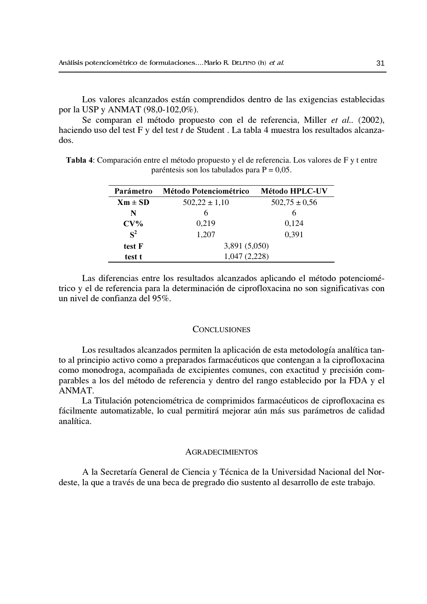Los valores alcanzados están comprendidos dentro de las exigencias establecidas por la USP y ANMAT (98,0-102,0%).

Se comparan el método propuesto con el de referencia, Miller et al. (2002), haciendo uso del test F y del test t de Student. La tabla 4 muestra los resultados alcanzados.

Tabla 4: Comparación entre el método propuesto y el de referencia. Los valores de F y t entre paréntesis son los tabulados para  $P = 0.05$ .

| Parámetro      | <b>Método Potenciométrico</b> | <b>Método HPLC-UV</b> |  |
|----------------|-------------------------------|-----------------------|--|
| $Xm \pm SD$    | $502,22 \pm 1,10$             | $502.75 \pm 0.56$     |  |
| N              | 6                             | 6                     |  |
| $CV\%$         | 0,219                         | 0,124                 |  |
| S <sup>2</sup> | 1,207                         | 0,391                 |  |
| test F         | 3,891 (5,050)                 |                       |  |
| test t         | 1,047 (2,228)                 |                       |  |

Las diferencias entre los resultados alcanzados aplicando el método potenciométrico y el de referencia para la determinación de ciprofloxacina no son significativas con un nivel de confianza del 95%.

## **CONCLUSIONES**

Los resultados alcanzados permiten la aplicación de esta metodología analítica tanto al principio activo como a preparados farmacéuticos que contengan a la ciprofloxacina como monodroga, acompañada de excipientes comunes, con exactitud y precisión comparables a los del método de referencia y dentro del rango establecido por la FDA y el ANMAT.

La Titulación potenciométrica de comprimidos farmacéuticos de ciprofloxacina es fácilmente automatizable, lo cual permitirá mejorar aún más sus parámetros de calidad analítica.

## **AGRADECIMIENTOS**

A la Secretaría General de Ciencia y Técnica de la Universidad Nacional del Nordeste, la que a través de una beca de pregrado dio sustento al desarrollo de este trabajo.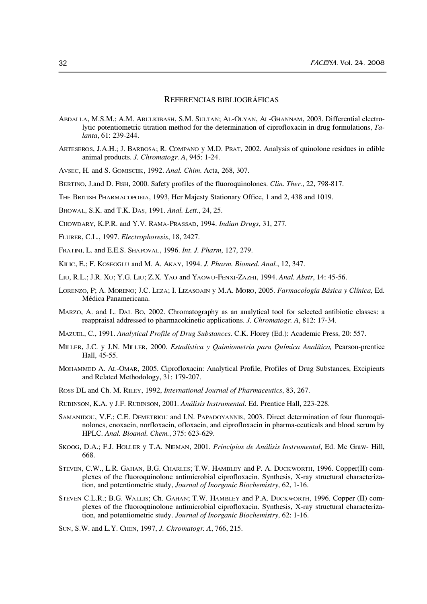#### REFERENCIAS BIBLIOGRÁFICAS

- ABDALLA, M.S.M.; A.M. ABULKIBASH, S.M. SULTAN; AL-OLYAN, AL-GHANNAM, 2003. Differential electrolytic potentiometric titration method for the determination of ciprofloxacin in drug formulations, Talanta, 61: 239-244.
- ARTESEROS, J.A.H.; J. BARBOSA; R. COMPANO y M.D. PRAT, 2002. Analysis of quinolone residues in edible animal products. J. Chromatogr. A, 945: 1-24.
- AVSEC, H. and S. GOMISCEK, 1992. Anal. Chim. Acta, 268, 307.
- BERTINO, J.and D. FISH, 2000. Safety profiles of the fluoroquinolones. Clin. Ther., 22, 798-817.
- THE BRITISH PHARMACOPOEIA, 1993, Her Majesty Stationary Office, 1 and 2, 438 and 1019.
- BHOWAL, S.K. and T.K. DAS, 1991. Anal. Lett., 24, 25.
- CHOWDARY, K.P.R. and Y.V. RAMA-PRASSAD, 1994. Indian Drugs, 31, 277.
- FLURER, C.L., 1997. Electrophoresis, 18, 2427.
- FRATINI, L. and E.E.S. SHAPOVAL, 1996. Int. J. Pharm, 127, 279.
- KILIC, E.; F. KOSEOGLU and M. A. AKAY, 1994. J. Pharm. Biomed. Anal., 12, 347.
- LIU, R.L.; J.R. XU; Y.G. LIU; Z.X. YAO and YAOWU-FENXI-ZAZHI, 1994. Anal. Abstr, 14: 45-56.
- LORENZO, P; A. MORENO; J.C. LEZA; I. LIZASOAIN y M.A. MORO, 2005. Farmacología Básica y Clínica, Ed. Médica Panamericana.
- MARZO, A. and L. DAL Bo, 2002. Chromatography as an analytical tool for selected antibiotic classes: a reappraisal addressed to pharmacokinetic applications. J. Chromatogr. A, 812: 17-34.
- MAZUEL, C., 1991. Analytical Profile of Drug Substances. C.K. Florey (Ed.): Academic Press, 20: 557.
- MILLER, J.C. y J.N. MILLER, 2000. Estadística y Quimiometría para Química Analítica, Pearson-prentice Hall, 45-55.
- MOHAMMED A. AL-OMAR, 2005. Ciprofloxacin: Analytical Profile, Profiles of Drug Substances, Excipients and Related Methodology, 31: 179-207.
- Ross DL and Ch. M. RILEY, 1992, International Journal of Pharmaceutics, 83, 267.
- RUBINSON, K.A. y J.F. RUBINSON, 2001. Análisis Instrumental. Ed. Prentice Hall, 223-228.
- SAMANIDOU, V.F.; C.E. DEMETRIOU and I.N. PAPADOYANNIS, 2003. Direct determination of four fluoroquinolones, enoxacin, norfloxacin, ofloxacin, and ciprofloxacin in pharma-ceuticals and blood serum by HPLC. Anal. Bioanal. Chem., 375: 623-629.
- SKOOG, D.A.; F.J. HOLLER y T.A. NIEMAN, 2001. Principios de Análisis Instrumental, Ed. Mc Graw-Hill, 668.
- STEVEN, C.W., L.R. GAHAN, B.G. CHARLES; T.W. HAMBLEY and P. A. DUCKWORTH, 1996. Copper(II) complexes of the fluoroquinolone antimicrobial ciprofloxacin. Synthesis, X-ray structural characterization, and potentiometric study, Journal of Inorganic Biochemistry, 62, 1-16.
- STEVEN C.L.R.; B.G. WALLIS; Ch. GAHAN; T.W. HAMBLEY and P.A. DUCKWORTH, 1996. Copper (II) complexes of the fluoroquinolone antimicrobial ciprofloxacin. Synthesis, X-ray structural characterization, and potentiometric study. Journal of Inorganic Biochemistry, 62: 1-16.
- SUN, S.W. and L.Y. CHEN, 1997, J. Chromatogr. A, 766, 215.